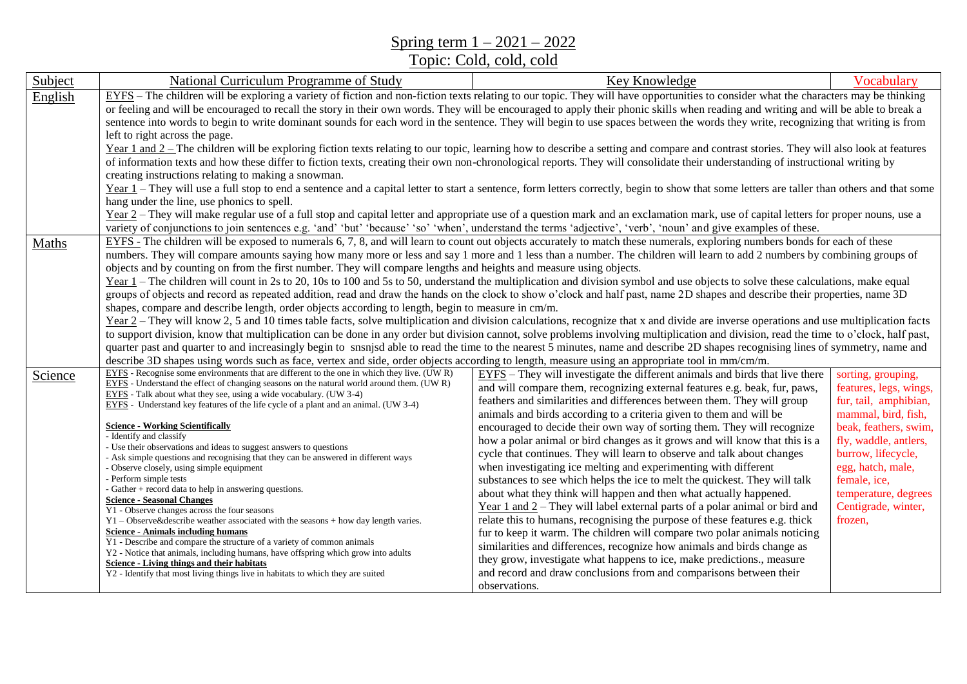Spring term 1 – 2021 – 2022

Topic: Cold, cold, cold

| Subject | National Curriculum Programme of Study                                                                                                                                                                                                                                                                                                                                                                                                                                                                                                                                                                                                                                                                                                                                                                                                                                                                                                                                                                                                                                                                                                                                                                                                                                                                                                                                                                                                                                                                                                                                                                                                                                             | Key Knowledge                                                                                                                                                                                                                                                                                                                                                                                                                                                                                                                                                                                                                                                                                                                                                                                                                                                                                                                                                                                                                                                                                                                                                                                                                                                       | Vocabulary                                                                                                                                                                                                                                                          |  |
|---------|------------------------------------------------------------------------------------------------------------------------------------------------------------------------------------------------------------------------------------------------------------------------------------------------------------------------------------------------------------------------------------------------------------------------------------------------------------------------------------------------------------------------------------------------------------------------------------------------------------------------------------------------------------------------------------------------------------------------------------------------------------------------------------------------------------------------------------------------------------------------------------------------------------------------------------------------------------------------------------------------------------------------------------------------------------------------------------------------------------------------------------------------------------------------------------------------------------------------------------------------------------------------------------------------------------------------------------------------------------------------------------------------------------------------------------------------------------------------------------------------------------------------------------------------------------------------------------------------------------------------------------------------------------------------------------|---------------------------------------------------------------------------------------------------------------------------------------------------------------------------------------------------------------------------------------------------------------------------------------------------------------------------------------------------------------------------------------------------------------------------------------------------------------------------------------------------------------------------------------------------------------------------------------------------------------------------------------------------------------------------------------------------------------------------------------------------------------------------------------------------------------------------------------------------------------------------------------------------------------------------------------------------------------------------------------------------------------------------------------------------------------------------------------------------------------------------------------------------------------------------------------------------------------------------------------------------------------------|---------------------------------------------------------------------------------------------------------------------------------------------------------------------------------------------------------------------------------------------------------------------|--|
| English | EYFS - The children will be exploring a variety of fiction and non-fiction texts relating to our topic. They will have opportunities to consider what the characters may be thinking<br>or feeling and will be encouraged to recall the story in their own words. They will be encouraged to apply their phonic skills when reading and writing and will be able to break a<br>sentence into words to begin to write dominant sounds for each word in the sentence. They will begin to use spaces between the words they write, recognizing that writing is from<br>left to right across the page.<br>Year 1 and 2 – The children will be exploring fiction texts relating to our topic, learning how to describe a setting and compare and contrast stories. They will also look at features                                                                                                                                                                                                                                                                                                                                                                                                                                                                                                                                                                                                                                                                                                                                                                                                                                                                                      |                                                                                                                                                                                                                                                                                                                                                                                                                                                                                                                                                                                                                                                                                                                                                                                                                                                                                                                                                                                                                                                                                                                                                                                                                                                                     |                                                                                                                                                                                                                                                                     |  |
|         | of information texts and how these differ to fiction texts, creating their own non-chronological reports. They will consolidate their understanding of instructional writing by<br>creating instructions relating to making a snowman.<br>Year 1 – They will use a full stop to end a sentence and a capital letter to start a sentence, form letters correctly, begin to show that some letters are taller than others and that some<br>hang under the line, use phonics to spell.<br>Year 2 – They will make regular use of a full stop and capital letter and appropriate use of a question mark and an exclamation mark, use of capital letters for proper nouns, use a<br>variety of conjunctions to join sentences e.g. 'and' 'but' 'because' 'so' 'when', understand the terms 'adjective', 'verb', 'noun' and give examples of these.                                                                                                                                                                                                                                                                                                                                                                                                                                                                                                                                                                                                                                                                                                                                                                                                                                      |                                                                                                                                                                                                                                                                                                                                                                                                                                                                                                                                                                                                                                                                                                                                                                                                                                                                                                                                                                                                                                                                                                                                                                                                                                                                     |                                                                                                                                                                                                                                                                     |  |
| Maths   | EYFS - The children will be exposed to numerals 6, 7, 8, and will learn to count out objects accurately to match these numerals, exploring numbers bonds for each of these<br>numbers. They will compare amounts saying how many more or less and say 1 more and 1 less than a number. The children will learn to add 2 numbers by combining groups of<br>objects and by counting on from the first number. They will compare lengths and heights and measure using objects.<br>Year $1$ – The children will count in 2s to 20, 10s to 100 and 5s to 50, understand the multiplication and division symbol and use objects to solve these calculations, make equal<br>groups of objects and record as repeated addition, read and draw the hands on the clock to show o'clock and half past, name 2D shapes and describe their properties, name 3D<br>shapes, compare and describe length, order objects according to length, begin to measure in cm/m.<br>Year 2 – They will know 2, 5 and 10 times table facts, solve multiplication and division calculations, recognize that x and divide are inverse operations and use multiplication facts<br>to support division, know that multiplication can be done in any order but division cannot, solve problems involving multiplication and division, read the time to o'clock, half past,<br>quarter past and quarter to and increasingly begin to snsnjsd able to read the time to the nearest 5 minutes, name and describe 2D shapes recognising lines of symmetry, name and<br>describe 3D shapes using words such as face, vertex and side, order objects according to length, measure using an appropriate tool in mm/cm/m. |                                                                                                                                                                                                                                                                                                                                                                                                                                                                                                                                                                                                                                                                                                                                                                                                                                                                                                                                                                                                                                                                                                                                                                                                                                                                     |                                                                                                                                                                                                                                                                     |  |
| Science | EYFS - Recognise some environments that are different to the one in which they live. (UWR)<br>$EYFS$ - Understand the effect of changing seasons on the natural world around them. (UWR)<br>EYFS - Talk about what they see, using a wide vocabulary. (UW 3-4)<br>EYFS - Understand key features of the life cycle of a plant and an animal. (UW 3-4)<br><b>Science - Working Scientifically</b><br>- Identify and classify<br>- Use their observations and ideas to suggest answers to questions<br>- Ask simple questions and recognising that they can be answered in different ways<br>- Observe closely, using simple equipment<br>- Perform simple tests<br>- Gather + record data to help in answering questions.<br><b>Science - Seasonal Changes</b><br>$\overline{Y1}$ - Observe changes across the four seasons<br>$Y1 - Observe\&describe$ weather associated with the seasons + how day length varies.<br><b>Science - Animals including humans</b><br>Y1 - Describe and compare the structure of a variety of common animals<br>Y2 - Notice that animals, including humans, have offspring which grow into adults<br>Science - Living things and their habitats<br>Y2 - Identify that most living things live in habitats to which they are suited                                                                                                                                                                                                                                                                                                                                                                                                                   | EYFS – They will investigate the different animals and birds that live there<br>and will compare them, recognizing external features e.g. beak, fur, paws,<br>feathers and similarities and differences between them. They will group<br>animals and birds according to a criteria given to them and will be<br>encouraged to decide their own way of sorting them. They will recognize<br>how a polar animal or bird changes as it grows and will know that this is a<br>cycle that continues. They will learn to observe and talk about changes<br>when investigating ice melting and experimenting with different<br>substances to see which helps the ice to melt the quickest. They will talk<br>about what they think will happen and then what actually happened.<br>Year $1$ and $2$ – They will label external parts of a polar animal or bird and<br>relate this to humans, recognising the purpose of these features e.g. thick<br>fur to keep it warm. The children will compare two polar animals noticing<br>similarities and differences, recognize how animals and birds change as<br>they grow, investigate what happens to ice, make predictions., measure<br>and record and draw conclusions from and comparisons between their<br>observations. | sorting, grouping,<br>features, legs, wings,<br>fur, tail, amphibian,<br>mammal, bird, fish,<br>beak, feathers, swim,<br>fly, waddle, antlers,<br>burrow, lifecycle,<br>egg, hatch, male,<br>female, ice,<br>temperature, degrees<br>Centigrade, winter,<br>frozen, |  |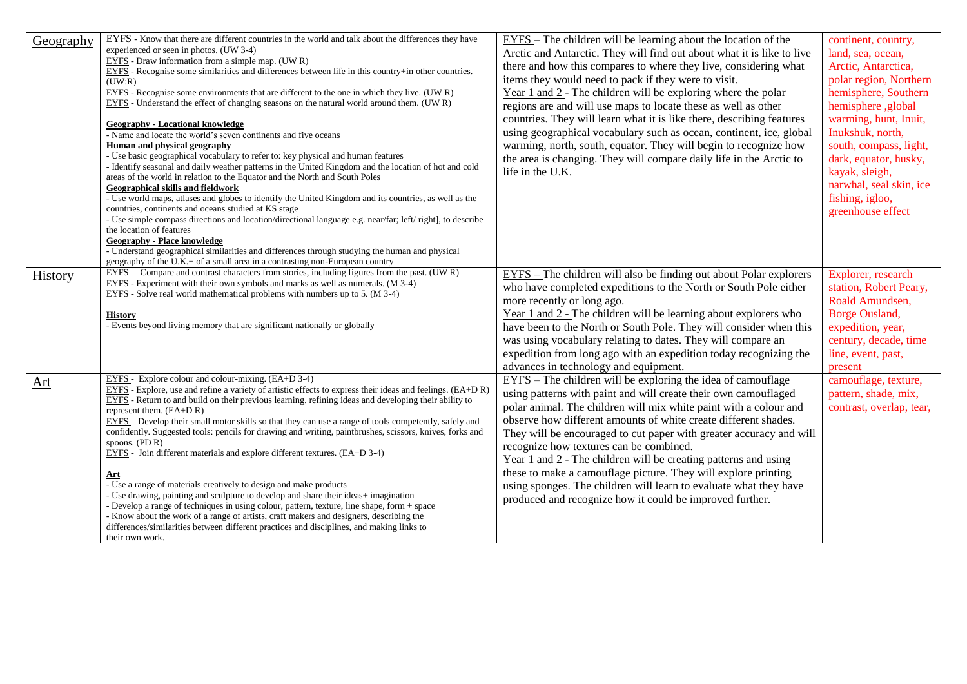| Geography      | EYFS - Know that there are different countries in the world and talk about the differences they have<br>experienced or seen in photos. (UW 3-4)<br>$EYFS$ - Draw information from a simple map. (UWR)<br>EYFS - Recognise some similarities and differences between life in this country+in other countries.<br>(UW:R)<br>EYFS - Recognise some environments that are different to the one in which they live. (UWR)<br>EYFS - Understand the effect of changing seasons on the natural world around them. (UWR)<br><b>Geography - Locational knowledge</b><br>- Name and locate the world's seven continents and five oceans<br>Human and physical geography<br>- Use basic geographical vocabulary to refer to: key physical and human features<br>- Identify seasonal and daily weather patterns in the United Kingdom and the location of hot and cold<br>areas of the world in relation to the Equator and the North and South Poles<br>Geographical skills and fieldwork<br>- Use world maps, atlases and globes to identify the United Kingdom and its countries, as well as the<br>countries, continents and oceans studied at KS stage<br>- Use simple compass directions and location/directional language e.g. near/far; left/right], to describe<br>the location of features<br><b>Geography - Place knowledge</b><br>- Understand geographical similarities and differences through studying the human and physical<br>geography of the U.K.+ of a small area in a contrasting non-European country | EYFS – The children will be learning about the location of the<br>Arctic and Antarctic. They will find out about what it is like to live<br>there and how this compares to where they live, considering what<br>items they would need to pack if they were to visit.<br>Year $1$ and $2$ - The children will be exploring where the polar<br>regions are and will use maps to locate these as well as other<br>countries. They will learn what it is like there, describing features<br>using geographical vocabulary such as ocean, continent, ice, global<br>warming, north, south, equator. They will begin to recognize how<br>the area is changing. They will compare daily life in the Arctic to<br>life in the U.K. | continent, country,<br>land, sea, ocean,<br>Arctic, Antarctica,<br>polar region, Northern<br>hemisphere, Southern<br>hemisphere ,global<br>warming, hunt, Inuit,<br>Inukshuk, north,<br>south, compass, light,<br>dark, equator, husky,<br>kayak, sleigh,<br>narwhal, seal skin, ice<br>fishing, igloo,<br>greenhouse effect |
|----------------|------------------------------------------------------------------------------------------------------------------------------------------------------------------------------------------------------------------------------------------------------------------------------------------------------------------------------------------------------------------------------------------------------------------------------------------------------------------------------------------------------------------------------------------------------------------------------------------------------------------------------------------------------------------------------------------------------------------------------------------------------------------------------------------------------------------------------------------------------------------------------------------------------------------------------------------------------------------------------------------------------------------------------------------------------------------------------------------------------------------------------------------------------------------------------------------------------------------------------------------------------------------------------------------------------------------------------------------------------------------------------------------------------------------------------------------------------------------------------------------------------------------|----------------------------------------------------------------------------------------------------------------------------------------------------------------------------------------------------------------------------------------------------------------------------------------------------------------------------------------------------------------------------------------------------------------------------------------------------------------------------------------------------------------------------------------------------------------------------------------------------------------------------------------------------------------------------------------------------------------------------|------------------------------------------------------------------------------------------------------------------------------------------------------------------------------------------------------------------------------------------------------------------------------------------------------------------------------|
| <b>History</b> | EYFS – Compare and contrast characters from stories, including figures from the past. (UWR)<br>EYFS - Experiment with their own symbols and marks as well as numerals. (M 3-4)<br>EYFS - Solve real world mathematical problems with numbers up to 5. (M 3-4)<br><b>History</b><br>- Events beyond living memory that are significant nationally or globally                                                                                                                                                                                                                                                                                                                                                                                                                                                                                                                                                                                                                                                                                                                                                                                                                                                                                                                                                                                                                                                                                                                                                     | $EYFS$ – The children will also be finding out about Polar explorers<br>who have completed expeditions to the North or South Pole either<br>more recently or long ago.<br>Year $1$ and $2$ - The children will be learning about explorers who<br>have been to the North or South Pole. They will consider when this<br>was using vocabulary relating to dates. They will compare an<br>expedition from long ago with an expedition today recognizing the<br>advances in technology and equipment.                                                                                                                                                                                                                         | Explorer, research<br>station, Robert Peary,<br>Roald Amundsen,<br>Borge Ousland,<br>expedition, year,<br>century, decade, time<br>line, event, past,<br>present                                                                                                                                                             |
| Art            | EYFS - Explore colour and colour-mixing. (EA+D 3-4)<br>$EYFS$ - Explore, use and refine a variety of artistic effects to express their ideas and feelings. (EA+D R)<br>EYFS - Return to and build on their previous learning, refining ideas and developing their ability to<br>represent them. $(EA+D R)$<br>EYFS - Develop their small motor skills so that they can use a range of tools competently, safely and<br>confidently. Suggested tools: pencils for drawing and writing, paintbrushes, scissors, knives, forks and<br>spoons. $(PD R)$<br>$EYFS$ - Join different materials and explore different textures. (EA+D 3-4)<br>Art<br>- Use a range of materials creatively to design and make products<br>- Use drawing, painting and sculpture to develop and share their ideas+ imagination<br>- Develop a range of techniques in using colour, pattern, texture, line shape, form + space<br>- Know about the work of a range of artists, craft makers and designers, describing the<br>differences/similarities between different practices and disciplines, and making links to<br>their own work.                                                                                                                                                                                                                                                                                                                                                                                                 | $EYFS$ – The children will be exploring the idea of camouflage<br>using patterns with paint and will create their own camouflaged<br>polar animal. The children will mix white paint with a colour and<br>observe how different amounts of white create different shades.<br>They will be encouraged to cut paper with greater accuracy and will<br>recognize how textures can be combined.<br>Year $1$ and $2$ - The children will be creating patterns and using<br>these to make a camouflage picture. They will explore printing<br>using sponges. The children will learn to evaluate what they have<br>produced and recognize how it could be improved further.                                                      | camouflage, texture,<br>pattern, shade, mix,<br>contrast, overlap, tear,                                                                                                                                                                                                                                                     |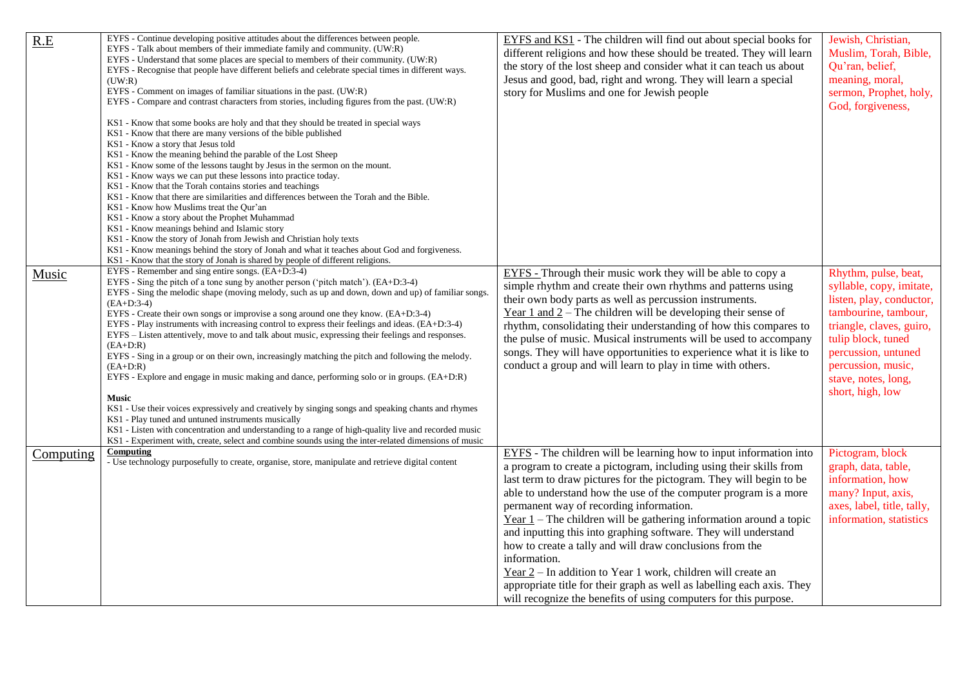| R.E       | EYFS - Continue developing positive attitudes about the differences between people.<br>EYFS - Talk about members of their immediate family and community. (UW:R)                      | EYFS and KS1 - The children will find out about special books for<br>different religions and how these should be treated. They will learn | Jewish, Christian,<br>Muslim, Torah, Bible, |
|-----------|---------------------------------------------------------------------------------------------------------------------------------------------------------------------------------------|-------------------------------------------------------------------------------------------------------------------------------------------|---------------------------------------------|
|           | EYFS - Understand that some places are special to members of their community. (UW:R)                                                                                                  | the story of the lost sheep and consider what it can teach us about                                                                       | Qu'ran, belief,                             |
|           | EYFS - Recognise that people have different beliefs and celebrate special times in different ways.<br>(UW:R)                                                                          | Jesus and good, bad, right and wrong. They will learn a special                                                                           | meaning, moral,                             |
|           | EYFS - Comment on images of familiar situations in the past. (UW:R)                                                                                                                   | story for Muslims and one for Jewish people                                                                                               | sermon, Prophet, holy,                      |
|           | EYFS - Compare and contrast characters from stories, including figures from the past. (UW:R)                                                                                          |                                                                                                                                           | God, forgiveness,                           |
|           |                                                                                                                                                                                       |                                                                                                                                           |                                             |
|           | KS1 - Know that some books are holy and that they should be treated in special ways                                                                                                   |                                                                                                                                           |                                             |
|           | KS1 - Know that there are many versions of the bible published                                                                                                                        |                                                                                                                                           |                                             |
|           | KS1 - Know a story that Jesus told<br>KS1 - Know the meaning behind the parable of the Lost Sheep                                                                                     |                                                                                                                                           |                                             |
|           | KS1 - Know some of the lessons taught by Jesus in the sermon on the mount.                                                                                                            |                                                                                                                                           |                                             |
|           | KS1 - Know ways we can put these lessons into practice today.                                                                                                                         |                                                                                                                                           |                                             |
|           | KS1 - Know that the Torah contains stories and teachings                                                                                                                              |                                                                                                                                           |                                             |
|           | KS1 - Know that there are similarities and differences between the Torah and the Bible.                                                                                               |                                                                                                                                           |                                             |
|           | KS1 - Know how Muslims treat the Qur'an                                                                                                                                               |                                                                                                                                           |                                             |
|           | KS1 - Know a story about the Prophet Muhammad                                                                                                                                         |                                                                                                                                           |                                             |
|           | KS1 - Know meanings behind and Islamic story<br>KS1 - Know the story of Jonah from Jewish and Christian holy texts                                                                    |                                                                                                                                           |                                             |
|           | KS1 - Know meanings behind the story of Jonah and what it teaches about God and forgiveness.                                                                                          |                                                                                                                                           |                                             |
|           | KS1 - Know that the story of Jonah is shared by people of different religions.                                                                                                        |                                                                                                                                           |                                             |
| Music     | EYFS - Remember and sing entire songs. (EA+D:3-4)                                                                                                                                     | EYFS - Through their music work they will be able to copy a                                                                               | Rhythm, pulse, beat,                        |
|           | EYFS - Sing the pitch of a tone sung by another person ('pitch match'). $(EA+D:3-4)$                                                                                                  | simple rhythm and create their own rhythms and patterns using                                                                             | syllable, copy, imitate,                    |
|           | EYFS - Sing the melodic shape (moving melody, such as up and down, down and up) of familiar songs.                                                                                    | their own body parts as well as percussion instruments.                                                                                   | listen, play, conductor,                    |
|           | $(EA+D:3-4)$                                                                                                                                                                          | Year 1 and $2$ – The children will be developing their sense of                                                                           | tambourine, tambour,                        |
|           | EYFS - Create their own songs or improvise a song around one they know. (EA+D:3-4)<br>EYFS - Play instruments with increasing control to express their feelings and ideas. (EA+D:3-4) |                                                                                                                                           |                                             |
|           | EYFS – Listen attentively, move to and talk about music, expressing their feelings and responses.                                                                                     | rhythm, consolidating their understanding of how this compares to                                                                         | triangle, claves, guiro,                    |
|           | $(EA+D:R)$                                                                                                                                                                            | the pulse of music. Musical instruments will be used to accompany                                                                         | tulip block, tuned                          |
|           | EYFS - Sing in a group or on their own, increasingly matching the pitch and following the melody.                                                                                     | songs. They will have opportunities to experience what it is like to                                                                      | percussion, untuned                         |
|           | $(EA+D:R)$                                                                                                                                                                            | conduct a group and will learn to play in time with others.                                                                               | percussion, music,                          |
|           | EYFS - Explore and engage in music making and dance, performing solo or in groups. $(EA+D:R)$                                                                                         |                                                                                                                                           | stave, notes, long,                         |
|           |                                                                                                                                                                                       |                                                                                                                                           | short, high, low                            |
|           | <b>Music</b><br>KS1 - Use their voices expressively and creatively by singing songs and speaking chants and rhymes                                                                    |                                                                                                                                           |                                             |
|           | KS1 - Play tuned and untuned instruments musically                                                                                                                                    |                                                                                                                                           |                                             |
|           | KS1 - Listen with concentration and understanding to a range of high-quality live and recorded music                                                                                  |                                                                                                                                           |                                             |
|           | KS1 - Experiment with, create, select and combine sounds using the inter-related dimensions of music                                                                                  |                                                                                                                                           |                                             |
| Computing | Computing                                                                                                                                                                             | EYFS - The children will be learning how to input information into                                                                        | Pictogram, block                            |
|           | - Use technology purposefully to create, organise, store, manipulate and retrieve digital content                                                                                     | a program to create a pictogram, including using their skills from                                                                        | graph, data, table,                         |
|           |                                                                                                                                                                                       | last term to draw pictures for the pictogram. They will begin to be                                                                       | information, how                            |
|           |                                                                                                                                                                                       | able to understand how the use of the computer program is a more                                                                          | many? Input, axis,                          |
|           |                                                                                                                                                                                       | permanent way of recording information.                                                                                                   | axes, label, title, tally,                  |
|           |                                                                                                                                                                                       | Year $1$ – The children will be gathering information around a topic                                                                      | information, statistics                     |
|           |                                                                                                                                                                                       | and inputting this into graphing software. They will understand                                                                           |                                             |
|           |                                                                                                                                                                                       |                                                                                                                                           |                                             |
|           |                                                                                                                                                                                       | how to create a tally and will draw conclusions from the                                                                                  |                                             |
|           |                                                                                                                                                                                       | information.                                                                                                                              |                                             |
|           |                                                                                                                                                                                       | Year 2 – In addition to Year 1 work, children will create an                                                                              |                                             |
|           |                                                                                                                                                                                       | appropriate title for their graph as well as labelling each axis. They                                                                    |                                             |
|           |                                                                                                                                                                                       | will recognize the benefits of using computers for this purpose.                                                                          |                                             |